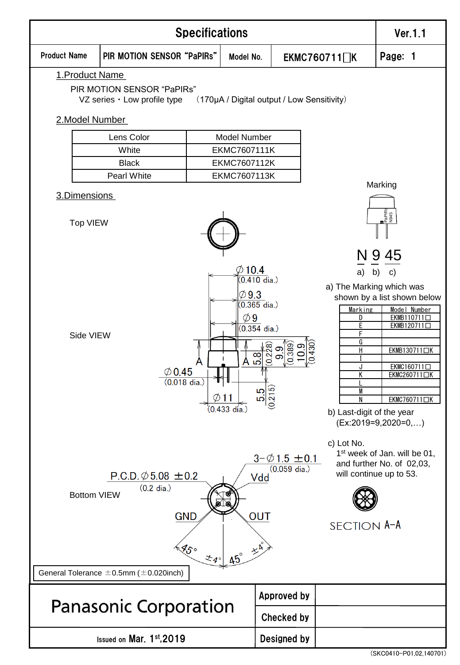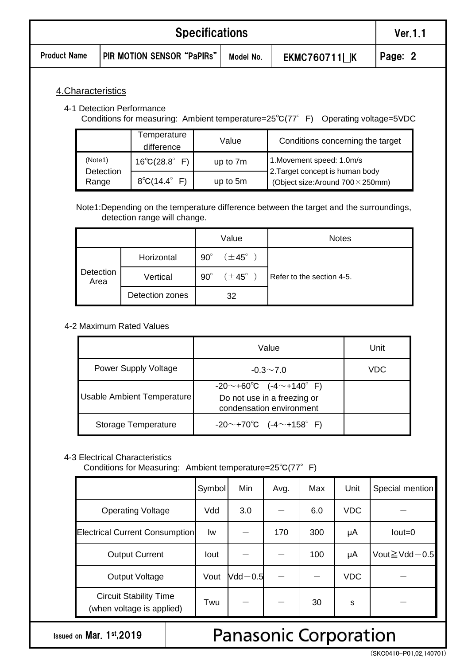| <b>Specifications</b> |         |  |  |  |  |
|-----------------------|---------|--|--|--|--|
| <b>Product Name</b>   | Page: 2 |  |  |  |  |
| 4. Characteristics    |         |  |  |  |  |

#### 4-1 Detection Performance

Conditions for measuring: Ambient temperature=25℃(77°F) Operating voltage=5VDC

|                      | Temperature<br>difference     | Value    | Conditions concerning the target                            |  |
|----------------------|-------------------------------|----------|-------------------------------------------------------------|--|
| (Note1)<br>Detection | $16^{\circ}C(28.8^{\circ} F)$ | up to 7m | 1.Movement speed: 1.0m/s<br>2. Target concept is human body |  |
| Range                | $8^{\circ}C(14.4^{\circ} F)$  | up to 5m | (Object size: Around $700 \times 250$ mm)                   |  |

Note1:Depending on the temperature difference between the target and the surroundings, detection range will change.

|                   |                 |            | Value              | <b>Notes</b>              |
|-------------------|-----------------|------------|--------------------|---------------------------|
|                   | Horizontal      | $90^\circ$ | $(\pm 45^{\circ})$ |                           |
| Detection<br>Area | Vertical        | $90^\circ$ | $(\pm 45^{\circ}$  | Refer to the section 4-5. |
|                   | Detection zones |            | 32                 |                           |

4-2 Maximum Rated Values

|                            | Value                                                                               | Unit |
|----------------------------|-------------------------------------------------------------------------------------|------|
| Power Supply Voltage       | $-0.3 \sim 7.0$                                                                     | VDC  |
| Usable Ambient Temperature | $-20$ ~+60°C (-4~+140°F)<br>Do not use in a freezing or<br>condensation environment |      |
| Storage Temperature        | $-20$ ~+70°C (-4~+158°F)                                                            |      |

### 4-3 Electrical Characteristics

Conditions for Measuring: Ambient temperature=25℃(77°F)

|                                                            | Symbol | Min         | Avg. | Max | Unit       | Special mention        |
|------------------------------------------------------------|--------|-------------|------|-----|------------|------------------------|
| <b>Operating Voltage</b>                                   | Vdd    | 3.0         |      | 6.0 | <b>VDC</b> |                        |
| <b>Electrical Current Consumption</b>                      | Iw     |             | 170  | 300 | μA         | $Iout = 0$             |
| <b>Output Current</b>                                      | lout   |             |      | 100 | μA         | Vout $\geq$ Vdd $-0.5$ |
| Output Voltage                                             | Vout   | $Vdd - 0.5$ |      |     | <b>VDC</b> |                        |
| <b>Circuit Stability Time</b><br>(when voltage is applied) | Twu    |             |      | 30  | s          |                        |

Issued on Mar. 1st,2019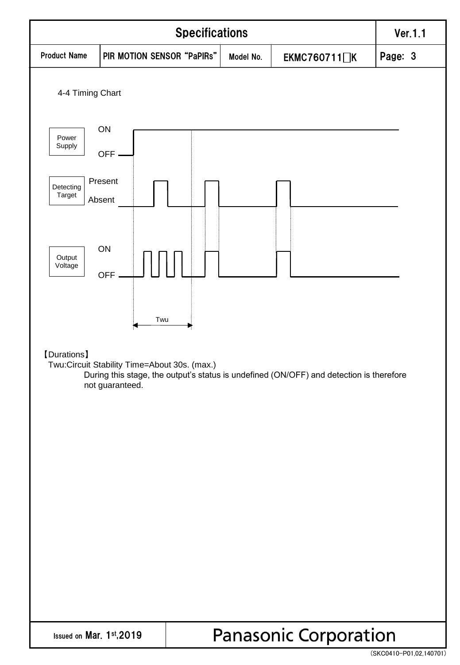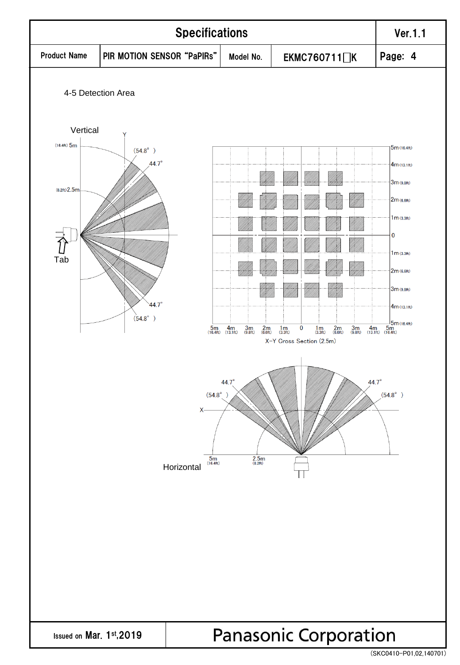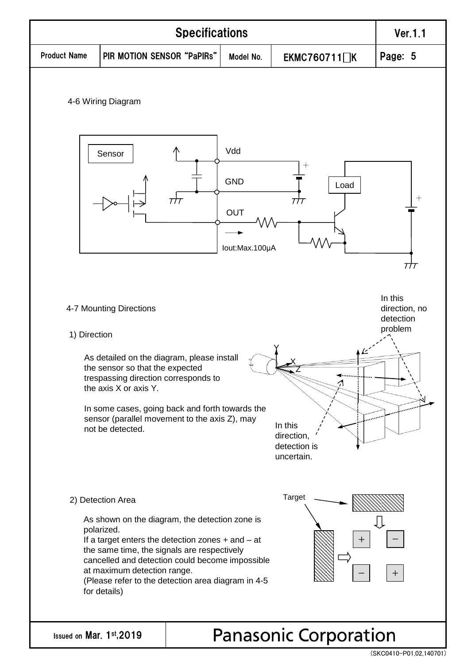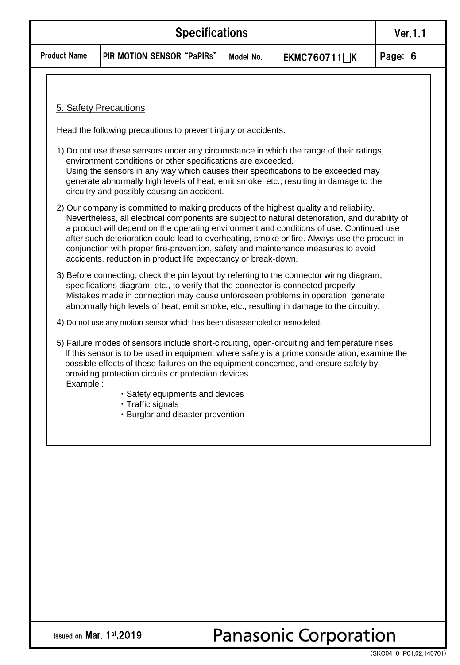| <b>Specifications</b> |                                                         |  |  |  |  |
|-----------------------|---------------------------------------------------------|--|--|--|--|
| <b>Product Name</b>   | PIR MOTION SENSOR "PaPIRS"<br>Model No.<br>EKMC760711∏K |  |  |  |  |

### 5. Safety Precautions

Head the following precautions to prevent injury or accidents.

- 1) Do not use these sensors under any circumstance in which the range of their ratings, environment conditions or other specifications are exceeded. Using the sensors in any way which causes their specifications to be exceeded may generate abnormally high levels of heat, emit smoke, etc., resulting in damage to the circuitry and possibly causing an accident.
- 2) Our company is committed to making products of the highest quality and reliability. Nevertheless, all electrical components are subject to natural deterioration, and durability of a product will depend on the operating environment and conditions of use. Continued use after such deterioration could lead to overheating, smoke or fire. Always use the product in conjunction with proper fire-prevention, safety and maintenance measures to avoid accidents, reduction in product life expectancy or break-down.
- 3) Before connecting, check the pin layout by referring to the connector wiring diagram, specifications diagram, etc., to verify that the connector is connected properly. Mistakes made in connection may cause unforeseen problems in operation, generate abnormally high levels of heat, emit smoke, etc., resulting in damage to the circuitry.
- 4) Do not use any motion sensor which has been disassembled or remodeled.
- 5) Failure modes of sensors include short-circuiting, open-circuiting and temperature rises. If this sensor is to be used in equipment where safety is a prime consideration, examine the possible effects of these failures on the equipment concerned, and ensure safety by providing protection circuits or protection devices. Example :
	- ・Safety equipments and devices
	- ・Traffic signals
	- ・Burglar and disaster prevention

Issued on Mar. 1st,2019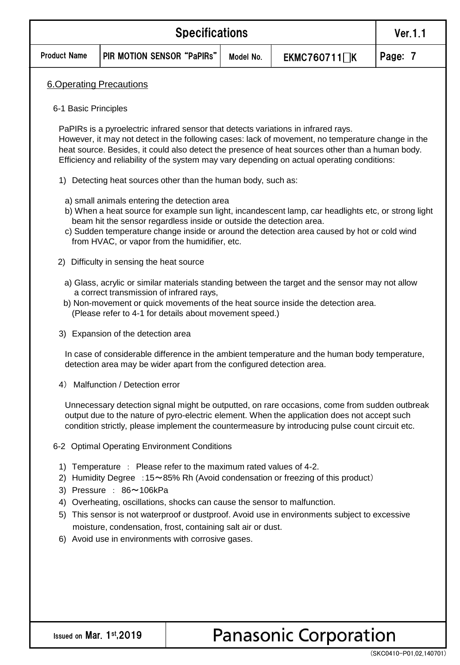|                                | Ver.1.1                                                                                                                                                                                                                                                                                                                                                                                                                                                               |           |              |         |  |  |
|--------------------------------|-----------------------------------------------------------------------------------------------------------------------------------------------------------------------------------------------------------------------------------------------------------------------------------------------------------------------------------------------------------------------------------------------------------------------------------------------------------------------|-----------|--------------|---------|--|--|
| <b>Product Name</b>            | PIR MOTION SENSOR "PaPIRs"                                                                                                                                                                                                                                                                                                                                                                                                                                            | Model No. | EKMC760711∏K | Page: 7 |  |  |
| <b>6.Operating Precautions</b> |                                                                                                                                                                                                                                                                                                                                                                                                                                                                       |           |              |         |  |  |
| 6-1 Basic Principles           |                                                                                                                                                                                                                                                                                                                                                                                                                                                                       |           |              |         |  |  |
|                                | PaPIRs is a pyroelectric infrared sensor that detects variations in infrared rays.<br>However, it may not detect in the following cases: lack of movement, no temperature change in the<br>heat source. Besides, it could also detect the presence of heat sources other than a human body.<br>Efficiency and reliability of the system may vary depending on actual operating conditions:                                                                            |           |              |         |  |  |
| 1)                             | Detecting heat sources other than the human body, such as:                                                                                                                                                                                                                                                                                                                                                                                                            |           |              |         |  |  |
|                                | a) small animals entering the detection area<br>b) When a heat source for example sun light, incandescent lamp, car headlights etc, or strong light<br>beam hit the sensor regardless inside or outside the detection area.<br>c) Sudden temperature change inside or around the detection area caused by hot or cold wind<br>from HVAC, or vapor from the humidifier, etc.                                                                                           |           |              |         |  |  |
|                                | 2) Difficulty in sensing the heat source                                                                                                                                                                                                                                                                                                                                                                                                                              |           |              |         |  |  |
|                                | a) Glass, acrylic or similar materials standing between the target and the sensor may not allow<br>a correct transmission of infrared rays,<br>b) Non-movement or quick movements of the heat source inside the detection area.<br>(Please refer to 4-1 for details about movement speed.)                                                                                                                                                                            |           |              |         |  |  |
|                                | 3) Expansion of the detection area                                                                                                                                                                                                                                                                                                                                                                                                                                    |           |              |         |  |  |
|                                | In case of considerable difference in the ambient temperature and the human body temperature,<br>detection area may be wider apart from the configured detection area.                                                                                                                                                                                                                                                                                                |           |              |         |  |  |
| 4)                             | Malfunction / Detection error                                                                                                                                                                                                                                                                                                                                                                                                                                         |           |              |         |  |  |
|                                | Unnecessary detection signal might be outputted, on rare occasions, come from sudden outbreak<br>output due to the nature of pyro-electric element. When the application does not accept such<br>condition strictly, please implement the countermeasure by introducing pulse count circuit etc.                                                                                                                                                                      |           |              |         |  |  |
|                                | 6-2 Optimal Operating Environment Conditions                                                                                                                                                                                                                                                                                                                                                                                                                          |           |              |         |  |  |
| 1)<br>3)<br>4)<br>5)           | Temperature : Please refer to the maximum rated values of 4-2.<br>2) Humidity Degree : 15~85% Rh (Avoid condensation or freezing of this product)<br>Pressure: 86~106kPa<br>Overheating, oscillations, shocks can cause the sensor to malfunction.<br>This sensor is not waterproof or dustproof. Avoid use in environments subject to excessive<br>moisture, condensation, frost, containing salt air or dust.<br>6) Avoid use in environments with corrosive gases. |           |              |         |  |  |
|                                |                                                                                                                                                                                                                                                                                                                                                                                                                                                                       |           |              |         |  |  |
|                                |                                                                                                                                                                                                                                                                                                                                                                                                                                                                       |           |              |         |  |  |

Issued on Mar. 1st,2019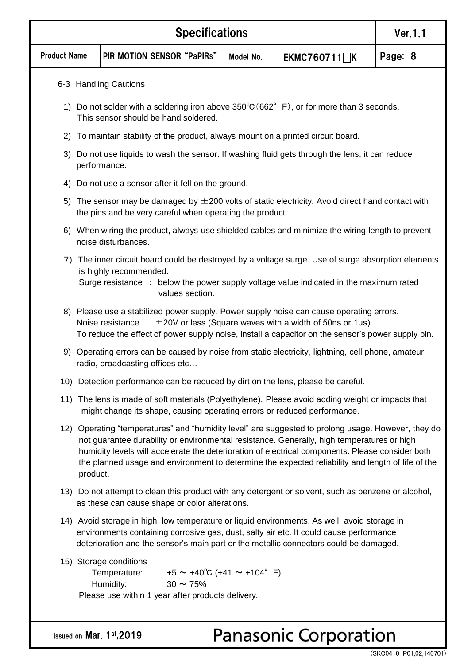|                     | <b>Specifications</b>                                                                                                                                                                                                                                                                                                                                                                                                 |                                                                                                                                                                               |                                                               |           |                                                                                                                                                                                                                                                                                 | Ver.1.1 |
|---------------------|-----------------------------------------------------------------------------------------------------------------------------------------------------------------------------------------------------------------------------------------------------------------------------------------------------------------------------------------------------------------------------------------------------------------------|-------------------------------------------------------------------------------------------------------------------------------------------------------------------------------|---------------------------------------------------------------|-----------|---------------------------------------------------------------------------------------------------------------------------------------------------------------------------------------------------------------------------------------------------------------------------------|---------|
| <b>Product Name</b> |                                                                                                                                                                                                                                                                                                                                                                                                                       | PIR MOTION SENSOR "PaPIRs"                                                                                                                                                    |                                                               | Model No. | EKMC760711 <sup>1</sup>                                                                                                                                                                                                                                                         | Page: 8 |
|                     |                                                                                                                                                                                                                                                                                                                                                                                                                       | 6-3 Handling Cautions                                                                                                                                                         |                                                               |           |                                                                                                                                                                                                                                                                                 |         |
|                     | 1) Do not solder with a soldering iron above $350^{\circ}C(662^{\circ}F)$ , or for more than 3 seconds.<br>This sensor should be hand soldered.                                                                                                                                                                                                                                                                       |                                                                                                                                                                               |                                                               |           |                                                                                                                                                                                                                                                                                 |         |
| 2)                  |                                                                                                                                                                                                                                                                                                                                                                                                                       |                                                                                                                                                                               |                                                               |           | To maintain stability of the product, always mount on a printed circuit board.                                                                                                                                                                                                  |         |
| 3)                  |                                                                                                                                                                                                                                                                                                                                                                                                                       | performance.                                                                                                                                                                  |                                                               |           | Do not use liquids to wash the sensor. If washing fluid gets through the lens, it can reduce                                                                                                                                                                                    |         |
| 4)                  |                                                                                                                                                                                                                                                                                                                                                                                                                       | Do not use a sensor after it fell on the ground.                                                                                                                              |                                                               |           |                                                                                                                                                                                                                                                                                 |         |
|                     |                                                                                                                                                                                                                                                                                                                                                                                                                       | the pins and be very careful when operating the product.                                                                                                                      |                                                               |           | 5) The sensor may be damaged by $\pm 200$ volts of static electricity. Avoid direct hand contact with                                                                                                                                                                           |         |
|                     |                                                                                                                                                                                                                                                                                                                                                                                                                       | noise disturbances.                                                                                                                                                           |                                                               |           | 6) When wiring the product, always use shielded cables and minimize the wiring length to prevent                                                                                                                                                                                |         |
| 7)                  |                                                                                                                                                                                                                                                                                                                                                                                                                       | is highly recommended.                                                                                                                                                        | values section.                                               |           | The inner circuit board could be destroyed by a voltage surge. Use of surge absorption elements<br>Surge resistance : below the power supply voltage value indicated in the maximum rated                                                                                       |         |
|                     |                                                                                                                                                                                                                                                                                                                                                                                                                       |                                                                                                                                                                               |                                                               |           | 8) Please use a stabilized power supply. Power supply noise can cause operating errors.<br>Noise resistance : $\pm 20V$ or less (Square waves with a width of 50ns or 1µs)<br>To reduce the effect of power supply noise, install a capacitor on the sensor's power supply pin. |         |
|                     |                                                                                                                                                                                                                                                                                                                                                                                                                       | radio, broadcasting offices etc                                                                                                                                               |                                                               |           | 9) Operating errors can be caused by noise from static electricity, lightning, cell phone, amateur                                                                                                                                                                              |         |
|                     |                                                                                                                                                                                                                                                                                                                                                                                                                       | 10) Detection performance can be reduced by dirt on the lens, please be careful.                                                                                              |                                                               |           |                                                                                                                                                                                                                                                                                 |         |
|                     |                                                                                                                                                                                                                                                                                                                                                                                                                       | 11) The lens is made of soft materials (Polyethylene). Please avoid adding weight or impacts that<br>might change its shape, causing operating errors or reduced performance. |                                                               |           |                                                                                                                                                                                                                                                                                 |         |
|                     | 12) Operating "temperatures" and "humidity level" are suggested to prolong usage. However, they do<br>not guarantee durability or environmental resistance. Generally, high temperatures or high<br>humidity levels will accelerate the deterioration of electrical components. Please consider both<br>the planned usage and environment to determine the expected reliability and length of life of the<br>product. |                                                                                                                                                                               |                                                               |           |                                                                                                                                                                                                                                                                                 |         |
|                     |                                                                                                                                                                                                                                                                                                                                                                                                                       | 13) Do not attempt to clean this product with any detergent or solvent, such as benzene or alcohol,<br>as these can cause shape or color alterations.                         |                                                               |           |                                                                                                                                                                                                                                                                                 |         |
|                     | 14) Avoid storage in high, low temperature or liquid environments. As well, avoid storage in<br>environments containing corrosive gas, dust, salty air etc. It could cause performance<br>deterioration and the sensor's main part or the metallic connectors could be damaged.                                                                                                                                       |                                                                                                                                                                               |                                                               |           |                                                                                                                                                                                                                                                                                 |         |
|                     |                                                                                                                                                                                                                                                                                                                                                                                                                       | 15) Storage conditions<br>Temperature:<br>Humidity:<br>Please use within 1 year after products delivery.                                                                      | $+5 \sim +40^{\circ}C$ (+41 $\sim$ +104° F)<br>$30 \sim 75\%$ |           |                                                                                                                                                                                                                                                                                 |         |
|                     |                                                                                                                                                                                                                                                                                                                                                                                                                       | Issued on Mar. 1st, 2019                                                                                                                                                      |                                                               |           | <b>Panasonic Corporation</b>                                                                                                                                                                                                                                                    |         |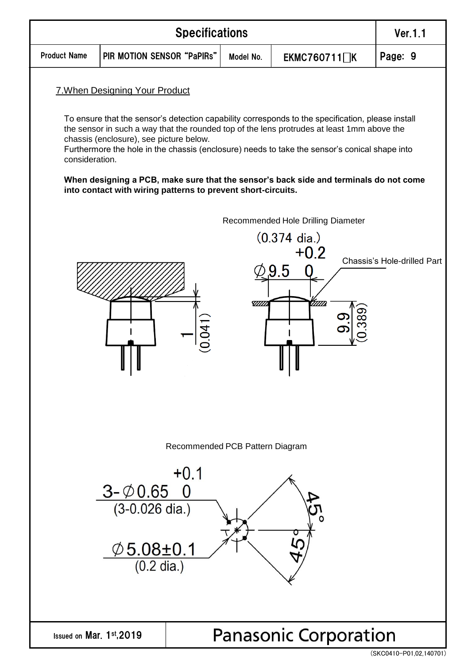